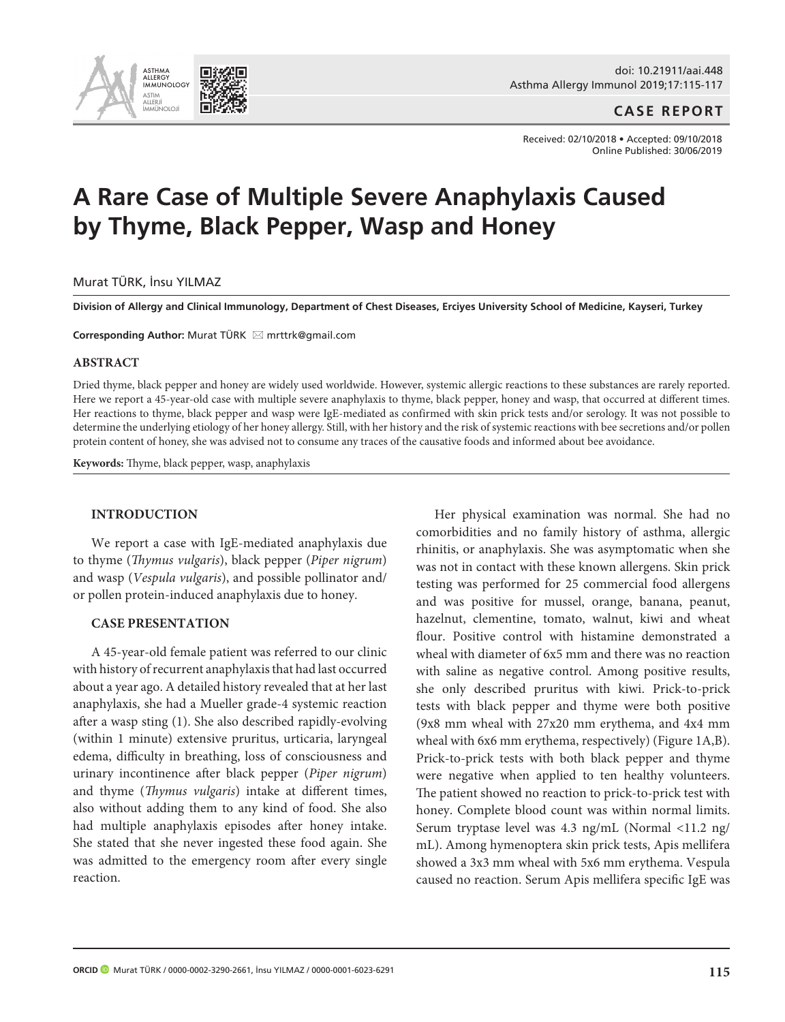

**CASE REPORT**

Received: 02/10/2018 • Accepted: 09/10/2018 Online Published: 30/06/2019

# **A Rare Case of Multiple Severe Anaphylaxis Caused by Thyme, Black Pepper, Wasp and Honey**

## Murat TÜRK, İnsu YILMAZ

**Division of Allergy and Clinical Immunology, Department of Chest Diseases, Erciyes University School of Medicine, Kayseri, Turkey** 

**Corresponding Author: Murat TÜRK ⊠ mrttrk@gmail.com** 

## **ABSTRACT**

Dried thyme, black pepper and honey are widely used worldwide. However, systemic allergic reactions to these substances are rarely reported. Here we report a 45-year-old case with multiple severe anaphylaxis to thyme, black pepper, honey and wasp, that occurred at different times. Her reactions to thyme, black pepper and wasp were IgE-mediated as confirmed with skin prick tests and/or serology. It was not possible to determine the underlying etiology of her honey allergy. Still, with her history and the risk of systemic reactions with bee secretions and/or pollen protein content of honey, she was advised not to consume any traces of the causative foods and informed about bee avoidance.

**Keywords:** Thyme, black pepper, wasp, anaphylaxis

## **INTRODUCTION**

We report a case with IgE-mediated anaphylaxis due to thyme (*Thymus vulgaris*), black pepper (*Piper nigrum*) and wasp (*Vespula vulgaris*), and possible pollinator and/ or pollen protein-induced anaphylaxis due to honey.

#### **CASE PRESENTATION**

A 45-year-old female patient was referred to our clinic with history of recurrent anaphylaxis that had last occurred about a year ago. A detailed history revealed that at her last anaphylaxis, she had a Mueller grade-4 systemic reaction after a wasp sting (1). She also described rapidly-evolving (within 1 minute) extensive pruritus, urticaria, laryngeal edema, difficulty in breathing, loss of consciousness and urinary incontinence after black pepper (*Piper nigrum*) and thyme (*Thymus vulgaris*) intake at different times, also without adding them to any kind of food. She also had multiple anaphylaxis episodes after honey intake. She stated that she never ingested these food again. She was admitted to the emergency room after every single reaction.

Her physical examination was normal. She had no comorbidities and no family history of asthma, allergic rhinitis, or anaphylaxis. She was asymptomatic when she was not in contact with these known allergens. Skin prick testing was performed for 25 commercial food allergens and was positive for mussel, orange, banana, peanut, hazelnut, clementine, tomato, walnut, kiwi and wheat flour. Positive control with histamine demonstrated a wheal with diameter of 6x5 mm and there was no reaction with saline as negative control. Among positive results, she only described pruritus with kiwi. Prick-to-prick tests with black pepper and thyme were both positive (9x8 mm wheal with 27x20 mm erythema, and 4x4 mm wheal with 6x6 mm erythema, respectively) (Figure 1A,B). Prick-to-prick tests with both black pepper and thyme were negative when applied to ten healthy volunteers. The patient showed no reaction to prick-to-prick test with honey. Complete blood count was within normal limits. Serum tryptase level was 4.3 ng/mL (Normal <11.2 ng/ mL). Among hymenoptera skin prick tests, Apis mellifera showed a 3x3 mm wheal with 5x6 mm erythema. Vespula caused no reaction. Serum Apis mellifera specific IgE was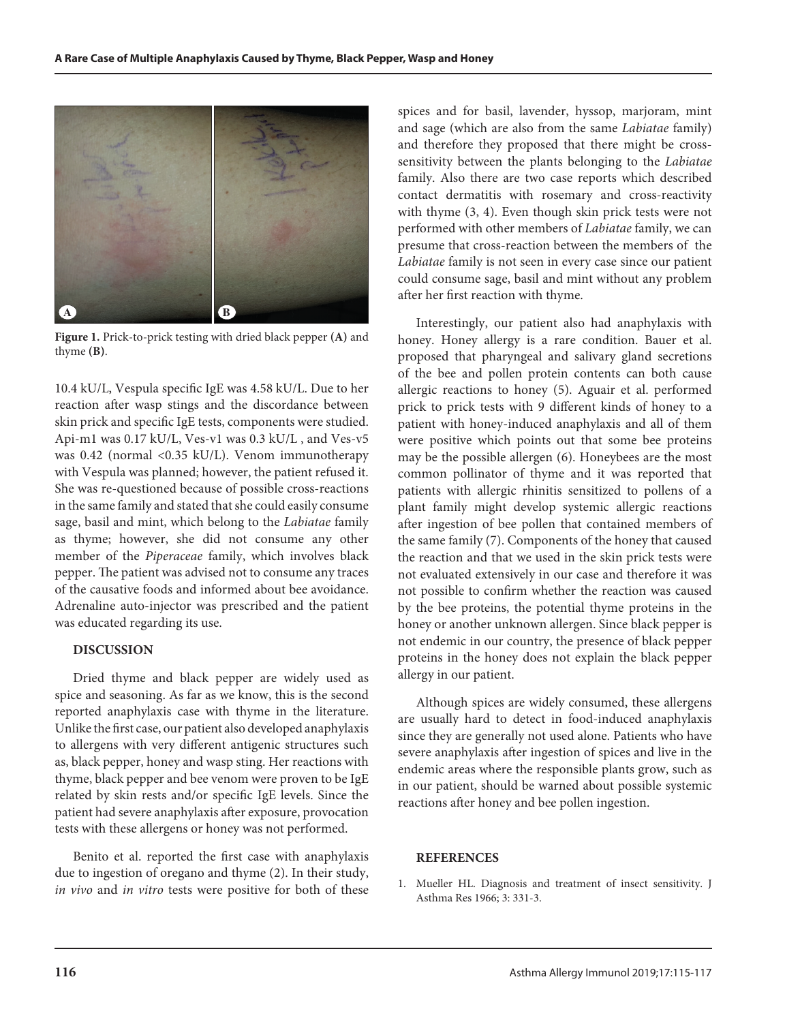

**Figure 1.** Prick-to-prick testing with dried black pepper **(A)** and thyme **(B)**.

10.4 kU/L, Vespula specific IgE was 4.58 kU/L. Due to her reaction after wasp stings and the discordance between skin prick and specific IgE tests, components were studied. Api-m1 was 0.17 kU/L, Ves-v1 was 0.3 kU/L , and Ves-v5 was 0.42 (normal <0.35 kU/L). Venom immunotherapy with Vespula was planned; however, the patient refused it. She was re-questioned because of possible cross-reactions in the same family and stated that she could easily consume sage, basil and mint, which belong to the *Labiatae* family as thyme; however, she did not consume any other member of the *Piperaceae* family, which involves black pepper. The patient was advised not to consume any traces of the causative foods and informed about bee avoidance. Adrenaline auto-injector was prescribed and the patient was educated regarding its use.

# **DISCUSSION**

Dried thyme and black pepper are widely used as spice and seasoning. As far as we know, this is the second reported anaphylaxis case with thyme in the literature. Unlike the first case, our patient also developed anaphylaxis to allergens with very different antigenic structures such as, black pepper, honey and wasp sting. Her reactions with thyme, black pepper and bee venom were proven to be IgE related by skin rests and/or specific IgE levels. Since the patient had severe anaphylaxis after exposure, provocation tests with these allergens or honey was not performed.

Benito et al. reported the first case with anaphylaxis due to ingestion of oregano and thyme (2). In their study, *in vivo* and *in vitro* tests were positive for both of these spices and for basil, lavender, hyssop, marjoram, mint and sage (which are also from the same *Labiatae* family) and therefore they proposed that there might be crosssensitivity between the plants belonging to the *Labiatae* family. Also there are two case reports which described contact dermatitis with rosemary and cross-reactivity with thyme (3, 4). Even though skin prick tests were not performed with other members of *Labiatae* family, we can presume that cross-reaction between the members of the *Labiatae* family is not seen in every case since our patient could consume sage, basil and mint without any problem after her first reaction with thyme.

Interestingly, our patient also had anaphylaxis with honey. Honey allergy is a rare condition. Bauer et al. proposed that pharyngeal and salivary gland secretions of the bee and pollen protein contents can both cause allergic reactions to honey (5). Aguair et al. performed prick to prick tests with 9 different kinds of honey to a patient with honey-induced anaphylaxis and all of them were positive which points out that some bee proteins may be the possible allergen (6). Honeybees are the most common pollinator of thyme and it was reported that patients with allergic rhinitis sensitized to pollens of a plant family might develop systemic allergic reactions after ingestion of bee pollen that contained members of the same family (7). Components of the honey that caused the reaction and that we used in the skin prick tests were not evaluated extensively in our case and therefore it was not possible to confirm whether the reaction was caused by the bee proteins, the potential thyme proteins in the honey or another unknown allergen. Since black pepper is not endemic in our country, the presence of black pepper proteins in the honey does not explain the black pepper allergy in our patient.

Although spices are widely consumed, these allergens are usually hard to detect in food-induced anaphylaxis since they are generally not used alone. Patients who have severe anaphylaxis after ingestion of spices and live in the endemic areas where the responsible plants grow, such as in our patient, should be warned about possible systemic reactions after honey and bee pollen ingestion.

#### **REFERENCES**

1. Mueller HL. Diagnosis and treatment of insect sensitivity. J Asthma Res 1966; 3: 331-3.